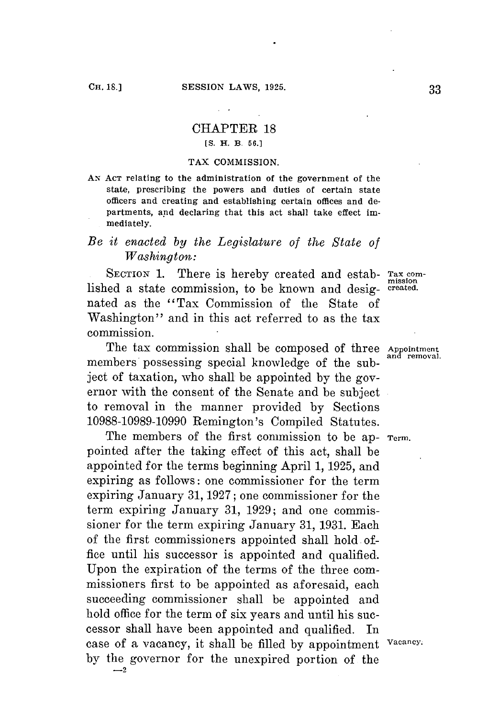## CHAPTER 18 *[S.* **H. B. 56.]**

#### **TAX COMMISSION.**

**AN ACT relating to the administration of the government of the state, prescribing the powers and duties of certain state officers and creating and establishing certain offices and departments, and declaring that this act shall take effect immediately.**

# *Be it enacted by the Legislature of the State of Washington:*

SECTION 1. There is hereby created and estab- Tax comlished a state commission, to be known and desig- **created.** nated as the "Tax Commission of the State of Washington" and in this act referred to as the tax commission.

The tax commission shall be composed of three Appointment members possessing special knowledge of the subject of taxation, who shall be appointed **by** the governor with the consent of the Senate and be subject to removal in the manner provided **by** Sections **10988-10989-10990** Remington's Compiled Statutes.

The members of the first commission to be ap- **Term.** pointed after the taking effect of this act, shall be appointed **for** the terms beginning April **1, 1925,** and expiring as follows: one commissioner for the term expiring January **31, 1927;** one commissioner for the term expiring January **31, 1929;** and one commissioner for the term expiring January **31, 1931.** Each of the first commissioners appointed shall hold office until his successor is appointed and qualified. Upon the expiration of the terms of the three commissioners first to be appointed as aforesaid, each succeeding commissioner shall be appointed and hold office **for** the term of six years and until his successor shall have been appointed and qualified. In case of a vacancy, it shall be filled **by** appointment **Vacancy. by** the governor for the unexpired portion of the  $-2$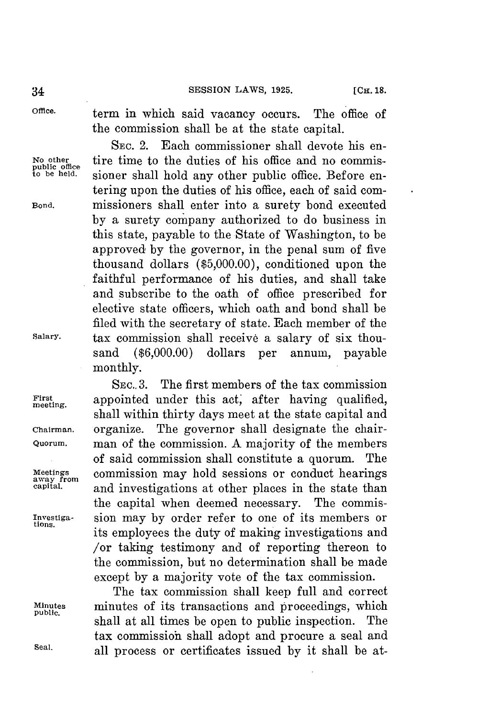**Office.** term in which said vacancy occurs. The office **of** the commission shall be at the state capital.

**SEc.** 2. Each commissioner shall devote his en-No other **time** to the duties of his office and no commis-<br>
<u>public office</u> signer shall hold any other public office. Before one sioner shall hold any other public office. Before entering upon the duties of his office, each of said com-**Bond.** missioners shall enter into a surety bond executed **by** a surety company authorized to do business in this state, payable to the State of Washington, to be approved **by** the governor, in the penal sum of five thousand dollars **(\$5,000.00),** conditioned upon the faithful performance of his duties, and shall take and subscribe to the oath of office prescribed for elective state officers, which oath and bond shall be filed with the secretary of state. Each member of the **Salary,** tax commission shall receive a salary of six thousand **(\$6,000.00)** dollars per annum, payable monthly.

**SEc.. 3.** The first members of the tax commission First appointed under this act, after having qualified, shall within thirty days meet at the state capital and **Chairman.** organize. The governor shall designate the chair-**Quorum.** man of the commission. **A** majority of the members of said commission shall constitute a quorum. The **Meetings** commission may hold sessions or conduct hearings **away from** and investigations at other places in the state than the capital when deemed necessary. The commis-**Investiga-** sion may **by** order refer to one of its members or tions. its employees the duty of making investigations and /or taking testimony and of reporting thereon to the commission, but no determination shall be made except **by** a majority vote of the tax commission.

The tax commission shall keep full and correct **Minutes** minutes of its transactions and proceedings, which **public.** shall at all times be open to public inspection. tax commissioh shall adopt and procure a seal and **Seal.** all process or certificates issued **by** it shall be at-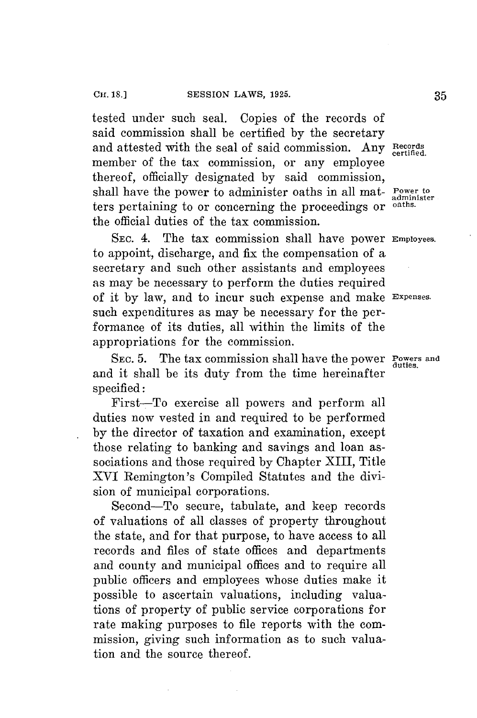tested under such seal. Copies of the records of said commission shall be certified **by** the secretary and attested with the seal of said commission. Any Records certified. member of the tax commission, or any employee thereof, officially designated **by** said commission, shall have the power to administer oaths in all mat- **Power to** ters pertaining to or concerning the proceedings or **oaths.** the official duties of the tax commission.

SEC. 4. The tax commission shall have power **Employees.** to appoint, discharge, and fix the compensation of a secretary and such other assistants and employees as may be necessary to perform the duties required of it **by** law, and to incur such expense and make **Expenses.** such expenditures as may be necessary for the performance of its duties, all within the limits of the appropriations for the commission.

SEC. 5. The tax commission shall have the power **Powers** and and it shall be its duty from the time hereinafter specified:

First-To exercise all powers and perform all duties now vested in and required to be performed **by** the director of taxation and examination, except those relating to banking and savings and loan associations and those required **by** Chapter XIII, Title XVI Remington's Compiled Statutes and the division of municipal corporations.

Second-To secure, tabulate, and keep records of valuations of all classes of property throughout the state, and for that purpose, to have access to all records and files of state offices and departments and county and municipal offices and to require all public officers and employees whose duties make it possible to ascertain valuations, including valuations of property of public service corporations for rate making purposes to file reports with the commission, giving such information as to such valuation and the source thereof.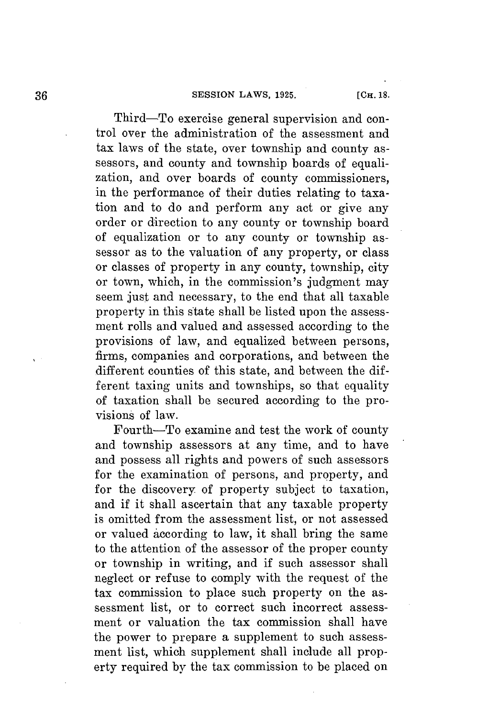## **SESSION LAWS, 1925.** [CH. 18.

Third-To exercise general supervision and control over the administration of the assessment and tax laws of the state, over township and county assessors, and county and township boards of equalization, and over boards of county commissioners, in the performance of their duties relating to taxation and to do and perform any act or give any order or direction to any county or township board of equalization or to any county or township assessor as to the valuation of any property, or class or classes of property in any county, township, city or town, which, in the commission's judgment may seem just and necessary, to the end that all taxable property in this state shall be listed upon the assessment rolls and valued and assessed according to the provisions of law, and equalized between persons, firms, companies and corporations, and between the different counties of this state, and between the different taxing units and townships, so that equality of taxation shall be secured according to the provisions of law.

Fourth-To examine and test the work of county and township assessors at any time, and to have and possess all rights and powers of such assessors for the examination of persons, and property, and for the discovery of property subject to taxation, and if it shall ascertain that any taxable property is omitted from the assessment list, or not assessed or valued according to law, it shall bring the same to the attention of the assessor of the proper county or township in writing, and if such assessor shall neglect or refuse to comply with the request of the tax commission to place such property on the assessment list, or to correct such incorrect assessment or valuation the tax commission shall have the power to prepare a supplement to such assessment list, which supplement shall include all property required **by** the tax commission to be placed on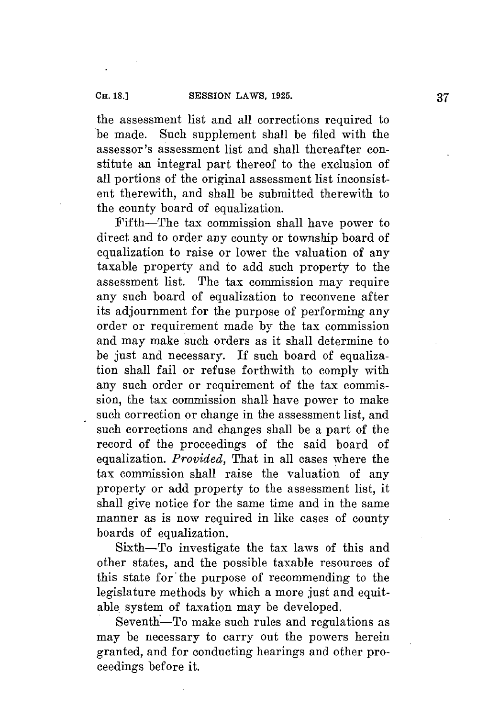the assessment list and all corrections required to be made. Such supplement shall be **filed** with the assessor's assessment list and shall thereafter constitute an integral part thereof to the exclusion of all portions of the original assessment list inconsistent therewith, and shall be submitted therewith to the county board of equalization.

Fifth-The tax commission shall have power to direct and to order any county or township board of equalization to raise or lower the valuation of any taxable property and to add such property to the assessment list. The tax commission may require any such board of equalization to reconvene after its adjournment for the purpose of performing any order or requirement made **by** the tax commission and may make such orders as it shall determine to be just and necessary. If such board of equalization shall fail or refuse forthwith to comply with any such order or requirement of the tax commission, the tax commission shall have power to make such correction or change in the assessment list, and such corrections and changes shall be a part of the record of the proceedings of the said board of equalization. *Provided,* That in all cases where the tax commission shall raise the valuation of any property or add property to the assessment list, it shall give notice for the same time and in the same manner as is now required in like cases of county boards of equalization.

Sixth-To investigate the tax laws of this and other states, and the possible taxable resources of this state for the purpose of recommending to the legislature methods **by** which a more just and equitable. system of taxation may be developed.

Seventh-To make such rules and regulations as may be necessary to carry out the powers herein granted, and for conducting hearings and other proceedings before it.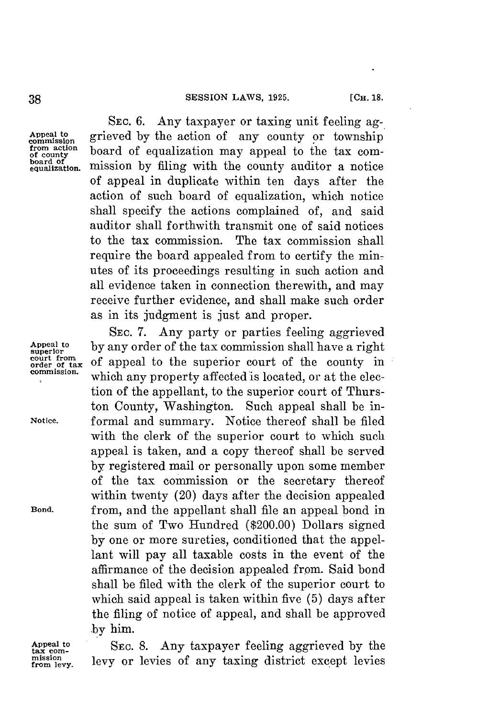**SEC. 6.** Any taxpayer or taxing unit feeling ag-Appeal to grieved by the action of any county or township<br>commission board of counting may appeal to the tax com from action board of equalization may appeal to the tax com-<br>board of equalization may appeal to the tax com-<br>equalization, mission by filing with the county auditor a notice mission by filing with the county auditor a notice of appeal in duplicate within ten days after the action of such board of equalization, which notice shall specify the actions complained of, and said auditor shall forthwith transmit one of said notices to the tax commission. The tax commission shall require the board appealed from to certify the minutes of its proceedings resulting in such action and all evidence taken in connection therewith, and may receive further evidence, and shall make such order as in its judgment is just and proper.

**SEC. 7.** Any party or parties feeling aggrieved Appeal to by any order of the tax commission shall have a right court from of appeal to the superior court of the county in court from<br>order of appeal to the superior court of the county in<br>commission. which are negative affected is leasted on at the class which any property affected is located, or at the election of the appellant, to the superior court of Thurston County, Washington. Such appeal shall be in-**Notice.** formal and summary. Notice thereof shall be filed with the clerk of the superior court to which such appeal is taken, and a copy thereof shall be served **by** registered mail or personally upon some member of the tax commission or the secretary thereof within twenty (20) days after the decision appealed **Bond.** from, and the appellant shall file an appeal bond in the sum of Two Hundred (\$200.00) Dollars signed **by** one or more sureties, conditioned that the appellant will pay all taxable costs in the event of the affirmance of the decision appealed from. Said bond shall be filed with the clerk of the superior court to which said appeal is taken within five **(5)** days after the filing of notice of appeal, and shall be approved **by** him.

Appeal to SEC. 8. Any taxpayer feeling aggrieved by the mission **comparison** and **comparison heat from** levy, **levy** or levies of any taxing district except levies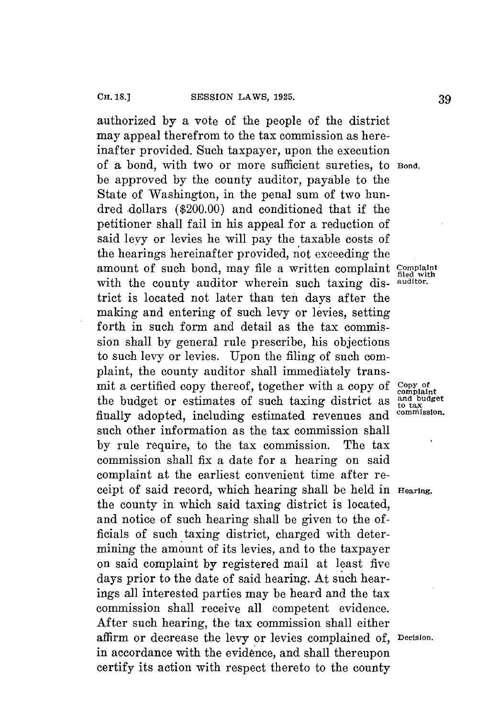authorized **by** a vote of the people of the district may appeal therefrom to the tax commission as hereinafter provided. Such taxpayer, upon the execution of a bond, with two or more sufficient sureties, to **Bond.** be approved **by** the county auditor, payable to the State of Washington, in the penal sum of two hundred dollars (\$200.00) and conditioned that if the petitioner shall fail in his appeal for a reduction of said levy or levies he will pay the taxable costs of the hearings hereinafter provided, not exceeding the amount of such bond, may file a written complaint **Complaint** in the country and iterative means with the country and iterative. with the county auditor wherein such taxing district is located not later than ten days after the making and entering of such levy or levies, setting forth in such form and detail as the tax commission shall **by** general rule prescribe, his objections to such levy or levies. Upon the filing of such complaint, the county auditor shall immediately transmit a certified copy thereof, together with a copy of complaint<br>the budget or estimates of such taxing district as  $\frac{1}{60}$  tax<br>finally adopted including estimated revenues and <sup>commission</sup>. the budget or estimates of such taxing district as finally adopted, including estimated revenues and such other information as the tax commission shall **by** rule require, to the tax commission. The tax commission shall fix a date for a hearing on said complaint at the earliest convenient time after receipt of said record, which hearing shall be held in **Hearing.** the county in which said taxing district is located, and notice of such hearing shall be given to the **of**ficials of such taxing district, charged with determining the amount of its levies, and to the taxpayer on said complaint **by** registered mail at least five days prior to the date of said hearing. At such hearings all interested parties may be heard and the tax commission shall receive all competent evidence. After such hearing, the tax commission shall either affirm or decrease the levy or levies complained of, **Decision.** in accordance with the evidence, and shall thereupon certify its action with respect thereto to the county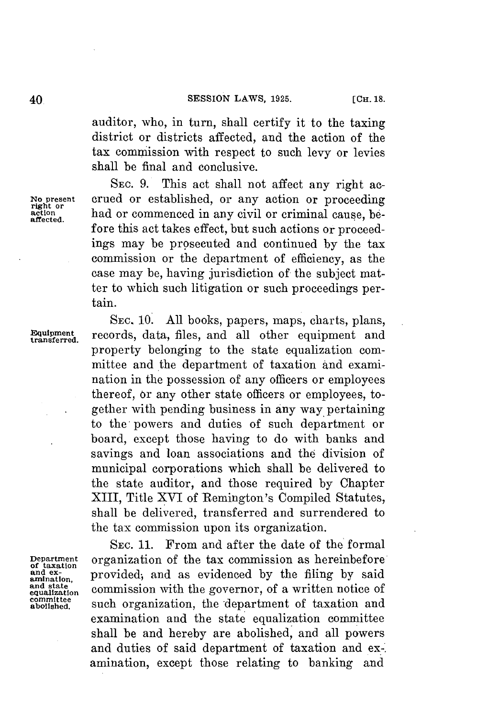auditor, who, in turn, shall certify it to the taxing district or districts affected, and the action of the tax commission with respect to such levy or levies shall be final and conclusive.

**SEC. 9.** This act shall not affect any right ac-No present crued or established, or any action or proceeding right or and or commenced in any civil or criminal cause, be-<br>affected. fore this act takes effect, but such actions or proceedings may be prosecuted and continued **by** the tax commission or the department of efficiency, as the case may be, having jurisdiction of the subject matter to which such litigation or such proceedings pertain.

**SEc. 10. All** books, papers, maps, charts, plans, **Equipment** records, data, files, and all other equipment and property belonging to the state equalization committee and the department of taxation and examination in the possession of any officers or employees thereof, or any other state officers or employees, together with pending business in any way pertaining to the powers and duties of such department or board, except those having to do with banks and savings and loan associations and the division of municipal corporations which shall be delivered to the state auditor, and those required **by** Chapter XIII, Title XVI of Remington's Compiled Statutes, shall **be** delivered, transferred and surrendered to the tax commission upon its organization.

SEC. **11.** From and after the date of the formal **Department** organization of the tax commission as hereinbefore of taxation corrections and ex-<br> **Department** or provided: and as evidenced by the filing by said and ex-<br>amination, provided; and as evidenced by the filing by said and state commission with the governor, of a written notice of committee committee such organization, the department of taxation and examination and the state equalization committee shall be and hereby are abolished, and all powers and duties of said department of taxation and ex-. amination, except those relating to banking and

**and state**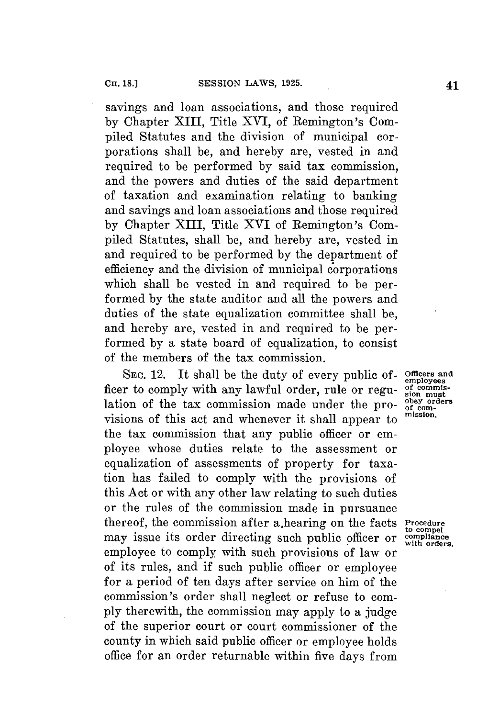savings and loan associations, and those required **by** Chapter XIII, Title XVI, of Remington's Compiled Statutes and the division of municipal corporations shall be, and hereby are, vested in and required to be performed **by** said tax commission, and the powers and duties of the said department of taxation and examination relating to banking and savings and loan associations and those required **by** Chapter XIII, Title **XVI** of Remington's Compiled Statutes, shall be, and hereby are, vested in and required to be performed **by** the department of efficiency and the division of municipal corporations which shall be vested in and required to be performed **by** the state auditor and all the powers and duties of the state equalization committee shall be, and hereby are, vested in and required to be performed **by** a state board of equalization, to consist of the members of the tax commission.

**SEC.** 12. It shall be the duty of every public of- **Officers and** ficer to comply with any lawful order, rule or regu- of commis-<br>lation of the tax commission made under the pro- <sup>obey orders</sup> lation of the tax commission made under the pro- obey order visions of this act and whenever it shall appear to **mission.** the tax commission that any public officer or employee whose duties relate to the assessment or equalization of assessments of property for taxation has failed to comply with the provisions of this Act or with any other law relating to such duties or the rules of the commission made in pursuance thereof, the commission after a.hearing on the facts **Procedure** may issue its order directing such public officer or  $\frac{\text{comple}}{\text{with order}}$ employee to comply with such provisions of law or of its rules, and if such public officer or employee for a period of ten days after service on him of the commission's order shall neglect or refuse to com**ply** therewith, the commission may apply to a judge of the superior court or court commissioner of the county in which said public officer or employee holds office for an order returnable within five days from

employees<br>of commis-

**to compel**